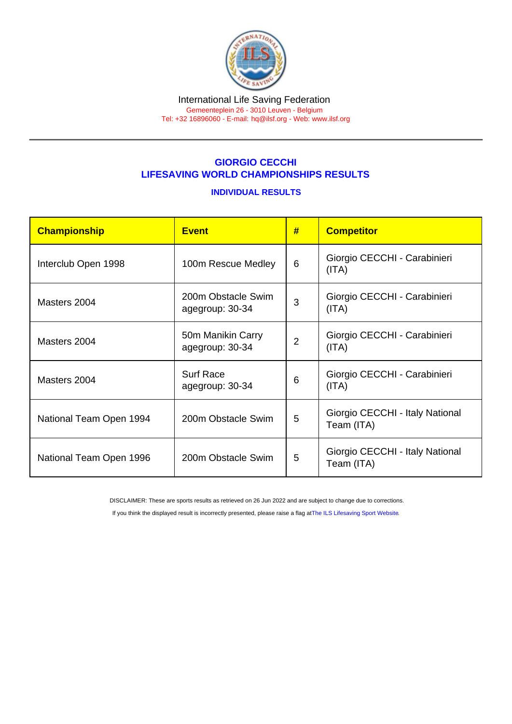## GIORGIO CECCHI LIFESAVING WORLD CHAMPIONSHIPS RESULTS

### INDIVIDUAL RESULTS

| Championship            | #<br><b>Event</b>                     |   | <b>Competitor</b>                             |  |
|-------------------------|---------------------------------------|---|-----------------------------------------------|--|
| Interclub Open 1998     | 100m Rescue Medley                    | 6 | Giorgio CECCHI - Carabinieri<br>(ITA)         |  |
| Masters 2004            | 200m Obstacle Swim<br>agegroup: 30-34 | 3 | Giorgio CECCHI - Carabinieri<br>(ITA)         |  |
| Masters 2004            | 50m Manikin Carry<br>agegroup: 30-34  | 2 | Giorgio CECCHI - Carabinieri<br>(ITA)         |  |
| Masters 2004            | <b>Surf Race</b><br>agegroup: 30-34   | 6 | Giorgio CECCHI - Carabinieri<br>(ITA)         |  |
| National Team Open 1994 | 200m Obstacle Swim                    | 5 | Giorgio CECCHI - Italy National<br>Team (ITA) |  |
| National Team Open 1996 | 200m Obstacle Swim                    | 5 | Giorgio CECCHI - Italy National<br>Team (ITA) |  |

DISCLAIMER: These are sports results as retrieved on 26 Jun 2022 and are subject to change due to corrections.

If you think the displayed result is incorrectly presented, please raise a flag at [The ILS Lifesaving Sport Website.](https://sport.ilsf.org)